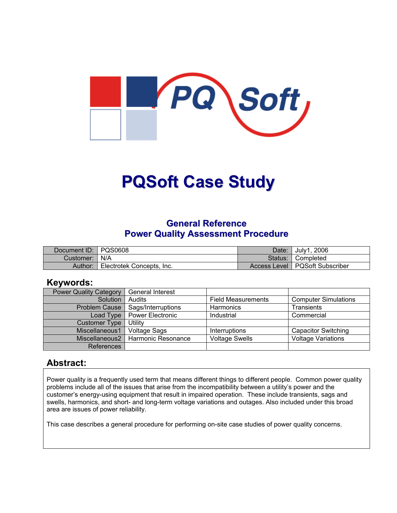

# **PQSoft Case Study**

## **General Reference Power Quality Assessment Procedure**

| Document ID: PQS0608 |                           | Date:   | July1, 2006                      |
|----------------------|---------------------------|---------|----------------------------------|
| Customer:   N/A      |                           | Status: | I Completed                      |
| Author:              | Electrotek Concepts, Inc. |         | Access Level   PQSoft Subscriber |

### **Keywords:**

| <b>Power Quality Category</b> | <b>General Interest</b> |                           |                             |
|-------------------------------|-------------------------|---------------------------|-----------------------------|
| Solution                      | Audits                  | <b>Field Measurements</b> | <b>Computer Simulations</b> |
| <b>Problem Cause</b>          | Sags/Interruptions      | <b>Harmonics</b>          | <b>Transients</b>           |
| Load Type                     | <b>Power Electronic</b> | Industrial                | Commercial                  |
| <b>Customer Type</b>          | Utility                 |                           |                             |
| Miscellaneous1                | <b>Voltage Sags</b>     | Interruptions             | <b>Capacitor Switching</b>  |
| Miscellaneous2                | Harmonic Resonance      | <b>Voltage Swells</b>     | <b>Voltage Variations</b>   |
| <b>References</b>             |                         |                           |                             |

## **Abstract:**

Power quality is a frequently used term that means different things to different people. Common power quality problems include all of the issues that arise from the incompatibility between a utility's power and the customer's energy-using equipment that result in impaired operation. These include transients, sags and swells, harmonics, and short- and long-term voltage variations and outages. Also included under this broad area are issues of power reliability.

This case describes a general procedure for performing on-site case studies of power quality concerns.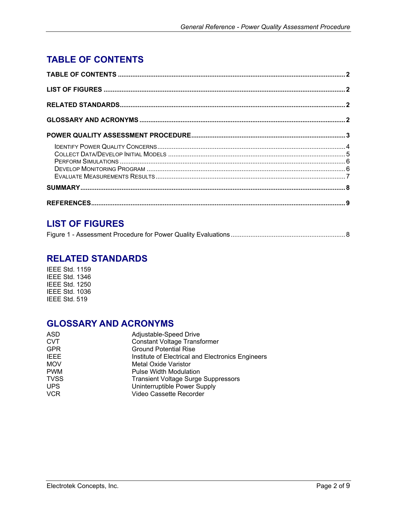# <span id="page-1-0"></span>**TABLE OF CONTENTS**

# **LIST OF FIGURES**

|--|--|--|--|--|

## **RELATED STANDARDS**

IEEE Std. 1159 IEEE Std. 1346 IEEE Std. 1250 IEEE Std. 1036 IEEE Std. 519

## **GLOSSARY AND ACRONYMS**

| ASD         | Adjustable-Speed Drive                            |
|-------------|---------------------------------------------------|
| <b>CVT</b>  | <b>Constant Voltage Transformer</b>               |
| <b>GPR</b>  | <b>Ground Potential Rise</b>                      |
| <b>IEEE</b> | Institute of Electrical and Electronics Engineers |
| <b>MOV</b>  | Metal Oxide Varistor                              |
| <b>PWM</b>  | <b>Pulse Width Modulation</b>                     |
| <b>TVSS</b> | <b>Transient Voltage Surge Suppressors</b>        |
| <b>UPS</b>  | Uninterruptible Power Supply                      |
| <b>VCR</b>  | Video Cassette Recorder                           |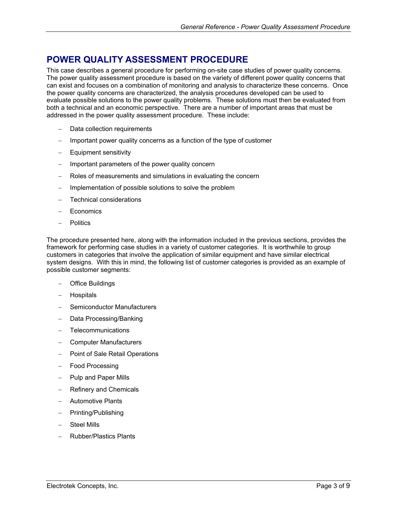## <span id="page-2-0"></span>**POWER QUALITY ASSESSMENT PROCEDURE**

This case describes a general procedure for performing on-site case studies of power quality concerns. The power quality assessment procedure is based on the variety of different power quality concerns that can exist and focuses on a combination of monitoring and analysis to characterize these concerns. Once the power quality concerns are characterized, the analysis procedures developed can be used to evaluate possible solutions to the power quality problems. These solutions must then be evaluated from both a technical and an economic perspective. There are a number of important areas that must be addressed in the power quality assessment procedure. These include:

- Data collection requirements
- Important power quality concerns as a function of the type of customer
- Equipment sensitivity
- Important parameters of the power quality concern
- Roles of measurements and simulations in evaluating the concern
- − Implementation of possible solutions to solve the problem
- − Technical considerations
- Economics
- − Politics

The procedure presented here, along with the information included in the previous sections, provides the framework for performing case studies in a variety of customer categories. It is worthwhile to group customers in categories that involve the application of similar equipment and have similar electrical system designs. With this in mind, the following list of customer categories is provided as an example of possible customer segments:

- − Office Buildings
- − Hospitals
- − Semiconductor Manufacturers
- − Data Processing/Banking
- − Telecommunications
- − Computer Manufacturers
- − Point of Sale Retail Operations
- − Food Processing
- − Pulp and Paper Mills
- Refinery and Chemicals
- − Automotive Plants
- − Printing/Publishing
- Steel Mills
- − Rubber/Plastics Plants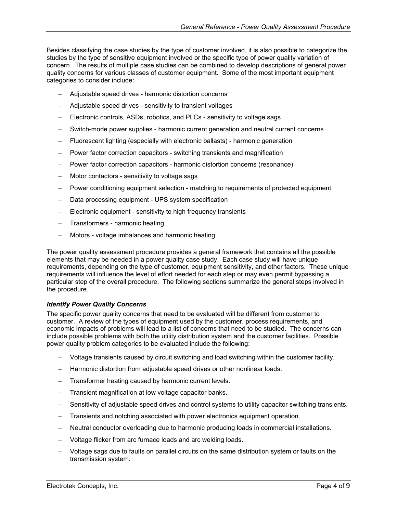<span id="page-3-0"></span>Besides classifying the case studies by the type of customer involved, it is also possible to categorize the studies by the type of sensitive equipment involved or the specific type of power quality variation of concern. The results of multiple case studies can be combined to develop descriptions of general power quality concerns for various classes of customer equipment. Some of the most important equipment categories to consider include:

- − Adjustable speed drives harmonic distortion concerns
- − Adjustable speed drives sensitivity to transient voltages
- Electronic controls, ASDs, robotics, and PLCs sensitivity to voltage sags
- Switch-mode power supplies harmonic current generation and neutral current concerns
- − Fluorescent lighting (especially with electronic ballasts) harmonic generation
- Power factor correction capacitors switching transients and magnification
- − Power factor correction capacitors harmonic distortion concerns (resonance)
- Motor contactors sensitivity to voltage sags
- − Power conditioning equipment selection matching to requirements of protected equipment
- Data processing equipment UPS system specification
- Electronic equipment sensitivity to high frequency transients
- − Transformers harmonic heating
- − Motors voltage imbalances and harmonic heating

The power quality assessment procedure provides a general framework that contains all the possible elements that may be needed in a power quality case study. Each case study will have unique requirements, depending on the type of customer, equipment sensitivity, and other factors. These unique requirements will influence the level of effort needed for each step or may even permit bypassing a particular step of the overall procedure. The following sections summarize the general steps involved in the procedure.

#### *Identify Power Quality Concerns*

The specific power quality concerns that need to be evaluated will be different from customer to customer. A review of the types of equipment used by the customer, process requirements, and economic impacts of problems will lead to a list of concerns that need to be studied. The concerns can include possible problems with both the utility distribution system and the customer facilities. Possible power quality problem categories to be evaluated include the following:

- − Voltage transients caused by circuit switching and load switching within the customer facility.
- − Harmonic distortion from adjustable speed drives or other nonlinear loads.
- Transformer heating caused by harmonic current levels.
- Transient magnification at low voltage capacitor banks.
- − Sensitivity of adjustable speed drives and control systems to utility capacitor switching transients.
- − Transients and notching associated with power electronics equipment operation.
- − Neutral conductor overloading due to harmonic producing loads in commercial installations.
- − Voltage flicker from arc furnace loads and arc welding loads.
- − Voltage sags due to faults on parallel circuits on the same distribution system or faults on the transmission system.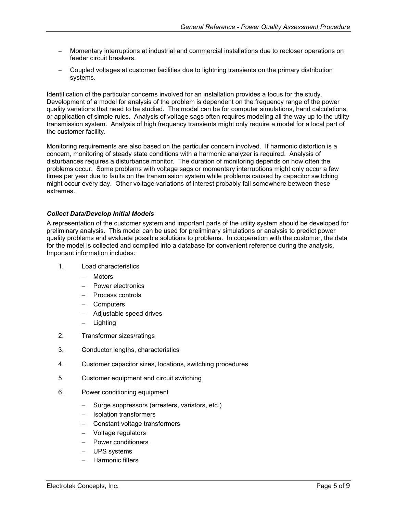- <span id="page-4-0"></span>− Momentary interruptions at industrial and commercial installations due to recloser operations on feeder circuit breakers.
- − Coupled voltages at customer facilities due to lightning transients on the primary distribution systems.

Identification of the particular concerns involved for an installation provides a focus for the study. Development of a model for analysis of the problem is dependent on the frequency range of the power quality variations that need to be studied. The model can be for computer simulations, hand calculations, or application of simple rules. Analysis of voltage sags often requires modeling all the way up to the utility transmission system. Analysis of high frequency transients might only require a model for a local part of the customer facility.

Monitoring requirements are also based on the particular concern involved. If harmonic distortion is a concern, monitoring of steady state conditions with a harmonic analyzer is required. Analysis of disturbances requires a disturbance monitor. The duration of monitoring depends on how often the problems occur. Some problems with voltage sags or momentary interruptions might only occur a few times per year due to faults on the transmission system while problems caused by capacitor switching might occur every day. Other voltage variations of interest probably fall somewhere between these extremes.

#### *Collect Data/Develop Initial Models*

A representation of the customer system and important parts of the utility system should be developed for preliminary analysis. This model can be used for preliminary simulations or analysis to predict power quality problems and evaluate possible solutions to problems. In cooperation with the customer, the data for the model is collected and compiled into a database for convenient reference during the analysis. Important information includes:

- 1. Load characteristics
	- − Motors
	- − Power electronics
	- − Process controls
	- − Computers
	- − Adjustable speed drives
	- − Lighting
- 2. Transformer sizes/ratings
- 3. Conductor lengths, characteristics
- 4. Customer capacitor sizes, locations, switching procedures
- 5. Customer equipment and circuit switching
- 6. Power conditioning equipment
	- − Surge suppressors (arresters, varistors, etc.)
	- − Isolation transformers
	- − Constant voltage transformers
	- − Voltage regulators
	- − Power conditioners
	- − UPS systems
	- − Harmonic filters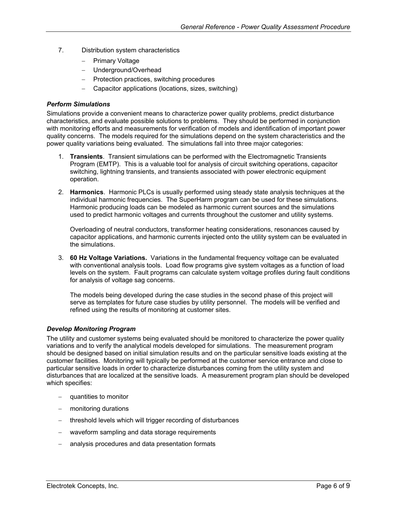- <span id="page-5-0"></span>7. Distribution system characteristics
	- − Primary Voltage
	- − Underground/Overhead
	- − Protection practices, switching procedures
	- − Capacitor applications (locations, sizes, switching)

#### *Perform Simulations*

Simulations provide a convenient means to characterize power quality problems, predict disturbance characteristics, and evaluate possible solutions to problems. They should be performed in conjunction with monitoring efforts and measurements for verification of models and identification of important power quality concerns. The models required for the simulations depend on the system characteristics and the power quality variations being evaluated. The simulations fall into three major categories:

- 1. **Transients**. Transient simulations can be performed with the Electromagnetic Transients Program (EMTP). This is a valuable tool for analysis of circuit switching operations, capacitor switching, lightning transients, and transients associated with power electronic equipment operation.
- 2. **Harmonics**. Harmonic PLCs is usually performed using steady state analysis techniques at the individual harmonic frequencies. The SuperHarm program can be used for these simulations. Harmonic producing loads can be modeled as harmonic current sources and the simulations used to predict harmonic voltages and currents throughout the customer and utility systems.

Overloading of neutral conductors, transformer heating considerations, resonances caused by capacitor applications, and harmonic currents injected onto the utility system can be evaluated in the simulations.

3. **60 Hz Voltage Variations.** Variations in the fundamental frequency voltage can be evaluated with conventional analysis tools. Load flow programs give system voltages as a function of load levels on the system. Fault programs can calculate system voltage profiles during fault conditions for analysis of voltage sag concerns.

The models being developed during the case studies in the second phase of this project will serve as templates for future case studies by utility personnel. The models will be verified and refined using the results of monitoring at customer sites.

#### *Develop Monitoring Program*

The utility and customer systems being evaluated should be monitored to characterize the power quality variations and to verify the analytical models developed for simulations. The measurement program should be designed based on initial simulation results and on the particular sensitive loads existing at the customer facilities. Monitoring will typically be performed at the customer service entrance and close to particular sensitive loads in order to characterize disturbances coming from the utility system and disturbances that are localized at the sensitive loads. A measurement program plan should be developed which specifies:

- quantities to monitor
- monitoring durations
- − threshold levels which will trigger recording of disturbances
- − waveform sampling and data storage requirements
- − analysis procedures and data presentation formats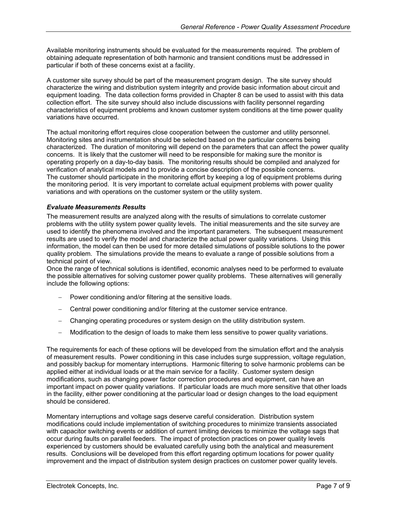<span id="page-6-0"></span>Available monitoring instruments should be evaluated for the measurements required. The problem of obtaining adequate representation of both harmonic and transient conditions must be addressed in particular if both of these concerns exist at a facility.

A customer site survey should be part of the measurement program design. The site survey should characterize the wiring and distribution system integrity and provide basic information about circuit and equipment loading. The data collection forms provided in Chapter 8 can be used to assist with this data collection effort. The site survey should also include discussions with facility personnel regarding characteristics of equipment problems and known customer system conditions at the time power quality variations have occurred.

The actual monitoring effort requires close cooperation between the customer and utility personnel. Monitoring sites and instrumentation should be selected based on the particular concerns being characterized. The duration of monitoring will depend on the parameters that can affect the power quality concerns. It is likely that the customer will need to be responsible for making sure the monitor is operating properly on a day-to-day basis. The monitoring results should be compiled and analyzed for verification of analytical models and to provide a concise description of the possible concerns. The customer should participate in the monitoring effort by keeping a log of equipment problems during the monitoring period. It is very important to correlate actual equipment problems with power quality variations and with operations on the customer system or the utility system.

#### *Evaluate Measurements Results*

The measurement results are analyzed along with the results of simulations to correlate customer problems with the utility system power quality levels. The initial measurements and the site survey are used to identify the phenomena involved and the important parameters. The subsequent measurement results are used to verify the model and characterize the actual power quality variations. Using this information, the model can then be used for more detailed simulations of possible solutions to the power quality problem. The simulations provide the means to evaluate a range of possible solutions from a technical point of view.

Once the range of technical solutions is identified, economic analyses need to be performed to evaluate the possible alternatives for solving customer power quality problems. These alternatives will generally include the following options:

- − Power conditioning and/or filtering at the sensitive loads.
- − Central power conditioning and/or filtering at the customer service entrance.
- − Changing operating procedures or system design on the utility distribution system.
- − Modification to the design of loads to make them less sensitive to power quality variations.

The requirements for each of these options will be developed from the simulation effort and the analysis of measurement results. Power conditioning in this case includes surge suppression, voltage regulation, and possibly backup for momentary interruptions. Harmonic filtering to solve harmonic problems can be applied either at individual loads or at the main service for a facility. Customer system design modifications, such as changing power factor correction procedures and equipment, can have an important impact on power quality variations. If particular loads are much more sensitive that other loads in the facility, either power conditioning at the particular load or design changes to the load equipment should be considered.

Momentary interruptions and voltage sags deserve careful consideration. Distribution system modifications could include implementation of switching procedures to minimize transients associated with capacitor switching events or addition of current limiting devices to minimize the voltage sags that occur during faults on parallel feeders. The impact of protection practices on power quality levels experienced by customers should be evaluated carefully using both the analytical and measurement results. Conclusions will be developed from this effort regarding optimum locations for power quality improvement and the impact of distribution system design practices on customer power quality levels.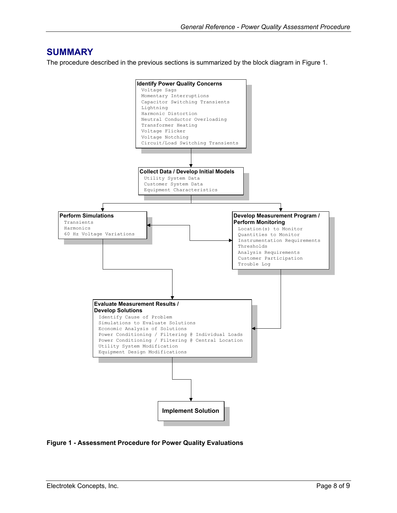## <span id="page-7-0"></span>**SUMMARY**

The procedure described in the previous sections is summarized by the block diagram in [Figure 1.](#page-7-1)

<span id="page-7-1"></span>

#### **Figure 1 - Assessment Procedure for Power Quality Evaluations**